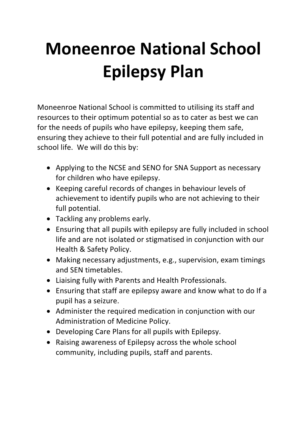## **Moneenroe National School Epilepsy Plan**

Moneenroe National School is committed to utilising its staff and resources to their optimum potential so as to cater as best we can for the needs of pupils who have epilepsy, keeping them safe, ensuring they achieve to their full potential and are fully included in school life. We will do this by:

- Applying to the NCSE and SENO for SNA Support as necessary for children who have epilepsy.
- Keeping careful records of changes in behaviour levels of achievement to identify pupils who are not achieving to their full potential.
- Tackling any problems early.
- Ensuring that all pupils with epilepsy are fully included in school life and are not isolated or stigmatised in conjunction with our Health & Safety Policy.
- Making necessary adjustments, e.g., supervision, exam timings and SEN timetables.
- Liaising fully with Parents and Health Professionals.
- Ensuring that staff are epilepsy aware and know what to do If a pupil has a seizure.
- Administer the required medication in conjunction with our Administration of Medicine Policy.
- Developing Care Plans for all pupils with Epilepsy.
- Raising awareness of Epilepsy across the whole school community, including pupils, staff and parents.